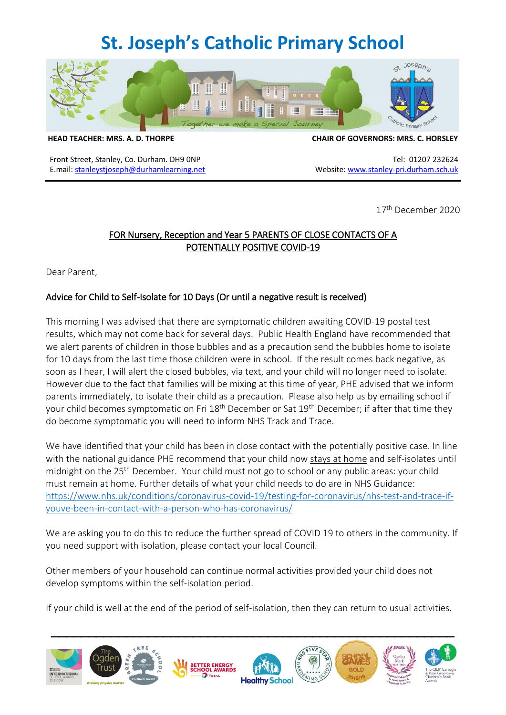## **St. Joseph's Catholic Primary School**



**HEAD TEACHER: MRS. A. D. THORPE CHAIR OF GOVERNORS: MRS. C. HORSLEY**

Front Street, Stanley, Co. Durham. DH9 0NP Tel: 01207 232624 E.mail: [stanleystjoseph@durhamlearning.net](mailto:stanleystjoseph@durhamlearning.net) Website[: www.stanley-pri.durham.sch.uk](http://www.stanley-pri.durham.sch.uk/)

17th December 2020

## FOR Nursery, Reception and Year 5 PARENTS OF CLOSE CONTACTS OF A POTENTIALLY POSITIVE COVID-19

Dear Parent,

### Advice for Child to Self-Isolate for 10 Days (Or until a negative result is received)

This morning I was advised that there are symptomatic children awaiting COVID-19 postal test results, which may not come back for several days. Public Health England have recommended that we alert parents of children in those bubbles and as a precaution send the bubbles home to isolate for 10 days from the last time those children were in school. If the result comes back negative, as soon as I hear, I will alert the closed bubbles, via text, and your child will no longer need to isolate. However due to the fact that families will be mixing at this time of year, PHE advised that we inform parents immediately, to isolate their child as a precaution. Please also help us by emailing school if your child becomes symptomatic on Fri 18<sup>th</sup> December or Sat 19<sup>th</sup> December; if after that time they do become symptomatic you will need to inform NHS Track and Trace.

We have identified that your child has been in close contact with the potentially positive case. In line with the national guidance PHE recommend that your child now stays at home and self-isolates until midnight on the 25<sup>th</sup> December. Your child must not go to school or any public areas: your child must remain at home. Further details of what your child needs to do are in NHS Guidance: [https://www.nhs.uk/conditions/coronavirus-covid-19/testing-for-coronavirus/nhs-test-and-trace-if](https://www.nhs.uk/conditions/coronavirus-covid-19/testing-for-coronavirus/nhs-test-and-trace-if-youve-been-in-contact-with-a-person-who-has-coronavirus/)[youve-been-in-contact-with-a-person-who-has-coronavirus/](https://www.nhs.uk/conditions/coronavirus-covid-19/testing-for-coronavirus/nhs-test-and-trace-if-youve-been-in-contact-with-a-person-who-has-coronavirus/)

We are asking you to do this to reduce the further spread of COVID 19 to others in the community. If you need support with isolation, please contact your local Council.

Other members of your household can continue normal activities provided your child does not develop symptoms within the self-isolation period.

If your child is well at the end of the period of self-isolation, then they can return to usual activities.

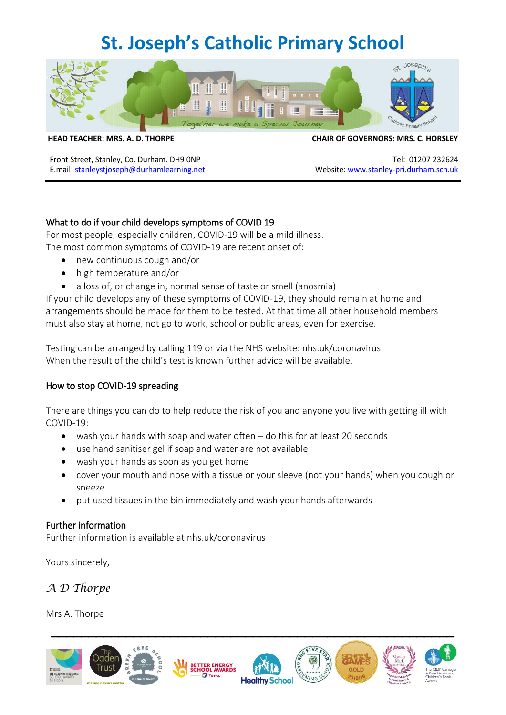# **St. Joseph's Catholic Primary School**



**HEAD TEACHER: MRS. A. D. THORPE CHAIR OF GOVERNORS: MRS. C. HORSLEY**

Front Street, Stanley, Co. Durham. DH9 0NP Tel: 01207 232624 E.mail: [stanleystjoseph@durhamlearning.net](mailto:stanleystjoseph@durhamlearning.net) Website[: www.stanley-pri.durham.sch.uk](http://www.stanley-pri.durham.sch.uk/)

### What to do if your child develops symptoms of COVID 19

For most people, especially children, COVID-19 will be a mild illness. The most common symptoms of COVID-19 are recent onset of:

- new continuous cough and/or
- high temperature and/or
- a loss of, or change in, normal sense of taste or smell (anosmia)

If your child develops any of these symptoms of COVID-19, they should remain at home and arrangements should be made for them to be tested. At that time all other household members must also stay at home, not go to work, school or public areas, even for exercise.

Testing can be arranged by calling 119 or via the NHS website: nhs.uk/coronavirus When the result of the child's test is known further advice will be available.

#### How to stop COVID-19 spreading

There are things you can do to help reduce the risk of you and anyone you live with getting ill with COVID-19:

- wash your hands with soap and water often do this for at least 20 seconds
- use hand sanitiser gel if soap and water are not available
- wash your hands as soon as you get home
- cover your mouth and nose with a tissue or your sleeve (not your hands) when you cough or sneeze
- put used tissues in the bin immediately and wash your hands afterwards

#### Further information

Further information is available at nhs.uk/coronavirus

Yours sincerely,

*A D Thorpe*

Mrs A. Thorpe